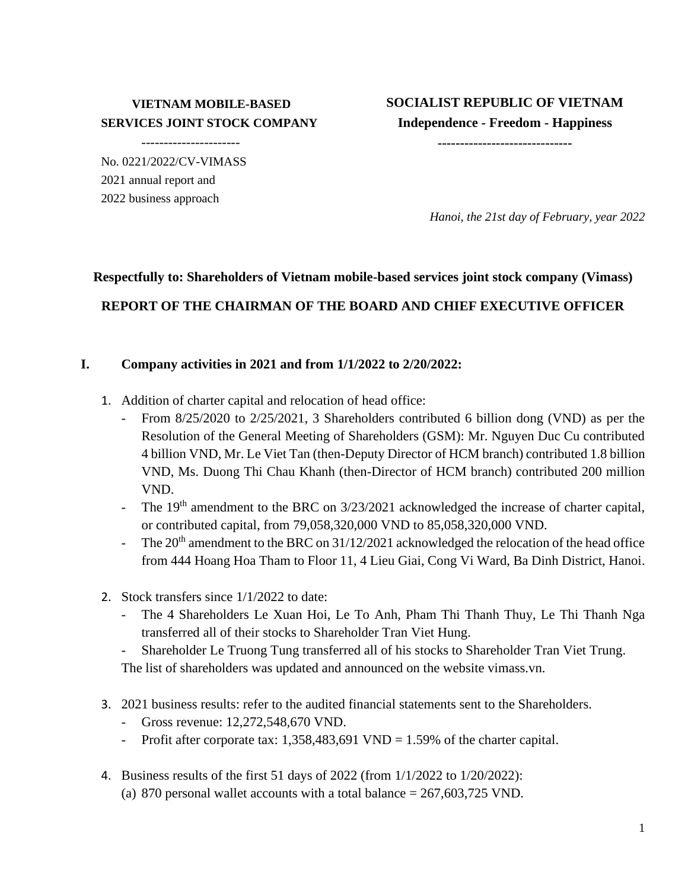### **VIETNAM MOBILE-BASED SERVICES JOINT STOCK COMPANY**

----------------------

No. 0221/2022/CV-VIMASS 2021 annual report and 2022 business approach

**SOCIALIST REPUBLIC OF VIETNAM Independence - Freedom - Happiness**

**------------------------------**

*Hanoi, the 21st day of February, year 2022*

# **Respectfully to: Shareholders of Vietnam mobile-based services joint stock company (Vimass) REPORT OF THE CHAIRMAN OF THE BOARD AND CHIEF EXECUTIVE OFFICER**

#### **I. Company activities in 2021 and from 1/1/2022 to 2/20/2022:**

- 1. Addition of charter capital and relocation of head office:
	- From 8/25/2020 to 2/25/2021, 3 Shareholders contributed 6 billion dong (VND) as per the Resolution of the General Meeting of Shareholders (GSM): Mr. Nguyen Duc Cu contributed 4 billion VND, Mr. Le Viet Tan (then-Deputy Director of HCM branch) contributed 1.8 billion VND, Ms. Duong Thi Chau Khanh (then-Director of HCM branch) contributed 200 million VND.
	- The 19<sup>th</sup> amendment to the BRC on 3/23/2021 acknowledged the increase of charter capital, or contributed capital, from 79,058,320,000 VND to 85,058,320,000 VND.
	- The  $20<sup>th</sup>$  amendment to the BRC on 31/12/2021 acknowledged the relocation of the head office from 444 Hoang Hoa Tham to Floor 11, 4 Lieu Giai, Cong Vi Ward, Ba Dinh District, Hanoi.
- 2. Stock transfers since 1/1/2022 to date:
	- The 4 Shareholders Le Xuan Hoi, Le To Anh, Pham Thi Thanh Thuy, Le Thi Thanh Nga transferred all of their stocks to Shareholder Tran Viet Hung.
	- Shareholder Le Truong Tung transferred all of his stocks to Shareholder Tran Viet Trung. The list of shareholders was updated and announced on the website vimass.vn.
	-
- 3. 2021 business results: refer to the audited financial statements sent to the Shareholders.
	- Gross revenue: 12,272,548,670 VND.
	- Profit after corporate tax:  $1,358,483,691$  VND = 1.59% of the charter capital.
- 4. Business results of the first 51 days of 2022 (from 1/1/2022 to 1/20/2022):
	- (a) 870 personal wallet accounts with a total balance  $= 267,603,725$  VND.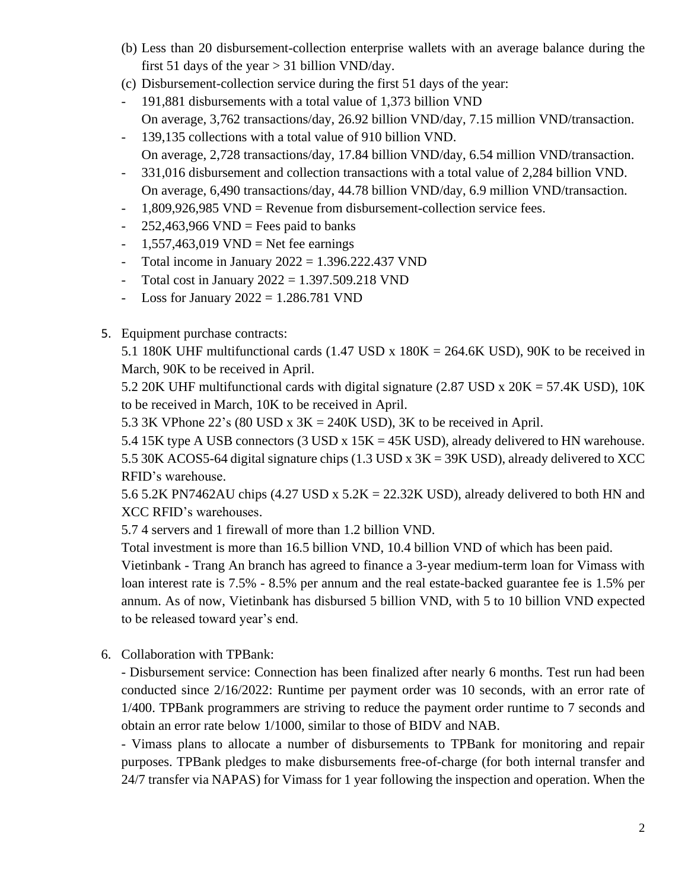- (b) Less than 20 disbursement-collection enterprise wallets with an average balance during the first 51 days of the year  $> 31$  billion VND/day.
- (c) Disbursement-collection service during the first 51 days of the year:
- 191,881 disbursements with a total value of 1,373 billion VND On average, 3,762 transactions/day, 26.92 billion VND/day, 7.15 million VND/transaction.
- 139,135 collections with a total value of 910 billion VND. On average, 2,728 transactions/day, 17.84 billion VND/day, 6.54 million VND/transaction.
- 331,016 disbursement and collection transactions with a total value of 2,284 billion VND. On average, 6,490 transactions/day, 44.78 billion VND/day, 6.9 million VND/transaction.
- 1,809,926,985 VND = Revenue from disbursement-collection service fees.
- $-252,463,966$  VND = Fees paid to banks
- $1,557,463,019$  VND = Net fee earnings
- Total income in January  $2022 = 1.396.222.437$  VND
- Total cost in January  $2022 = 1.397.509.218$  VND
- Loss for January  $2022 = 1.286.781$  VND
- 5. Equipment purchase contracts:

5.1 180K UHF multifunctional cards (1.47 USD x 180K = 264.6K USD), 90K to be received in March, 90K to be received in April.

5.2 20K UHF multifunctional cards with digital signature (2.87 USD x 20K = 57.4K USD), 10K to be received in March, 10K to be received in April.

5.3 3K VPhone 22's (80 USD x  $3K = 240K$  USD), 3K to be received in April.

5.4 15K type A USB connectors (3 USD x 15K = 45K USD), already delivered to HN warehouse. 5.5 30K ACOS5-64 digital signature chips (1.3 USD x 3K = 39K USD), already delivered to XCC RFID's warehouse.

5.6 5.2K PN7462AU chips  $(4.27 \text{ USD} \times 5.2 \text{K} = 22.32 \text{K} \text{ USD})$ , already delivered to both HN and XCC RFID's warehouses.

5.7 4 servers and 1 firewall of more than 1.2 billion VND.

Total investment is more than 16.5 billion VND, 10.4 billion VND of which has been paid.

Vietinbank - Trang An branch has agreed to finance a 3-year medium-term loan for Vimass with loan interest rate is 7.5% - 8.5% per annum and the real estate-backed guarantee fee is 1.5% per annum. As of now, Vietinbank has disbursed 5 billion VND, with 5 to 10 billion VND expected to be released toward year's end.

6. Collaboration with TPBank:

- Disbursement service: Connection has been finalized after nearly 6 months. Test run had been conducted since 2/16/2022: Runtime per payment order was 10 seconds, with an error rate of 1/400. TPBank programmers are striving to reduce the payment order runtime to 7 seconds and obtain an error rate below 1/1000, similar to those of BIDV and NAB.

- Vimass plans to allocate a number of disbursements to TPBank for monitoring and repair purposes. TPBank pledges to make disbursements free-of-charge (for both internal transfer and 24/7 transfer via NAPAS) for Vimass for 1 year following the inspection and operation. When the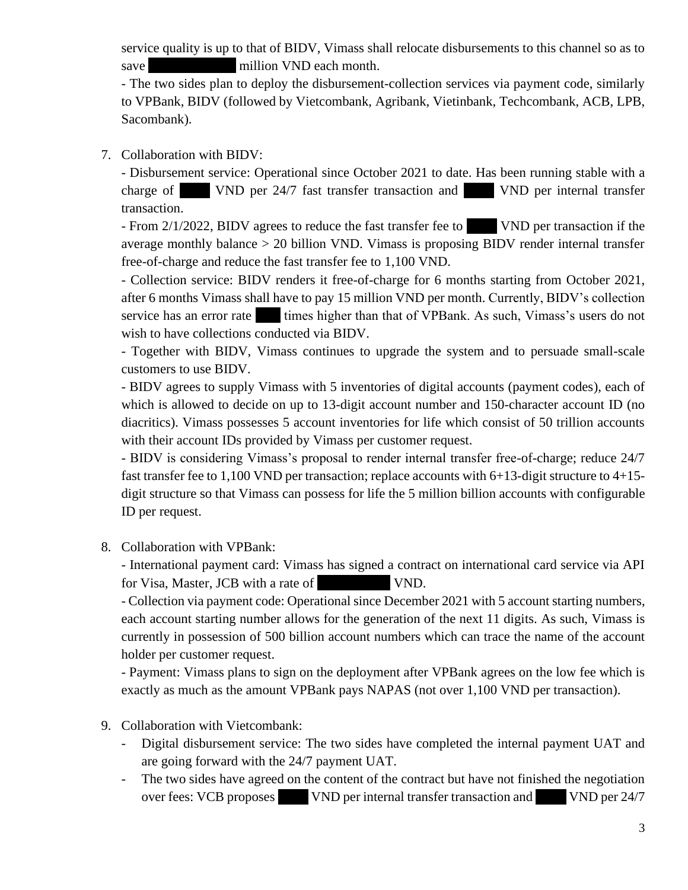service quality is up to that of BIDV, Vimass shall relocate disbursements to this channel so as to save million VND each month.

- The two sides plan to deploy the disbursement-collection services via payment code, similarly to VPBank, BIDV (followed by Vietcombank, Agribank, Vietinbank, Techcombank, ACB, LPB, Sacombank).

#### 7. Collaboration with BIDV:

- Disbursement service: Operational since October 2021 to date. Has been running stable with a charge of 100 VND per 24/7 fast transfer transaction and 1,100 VND per internal transfer transaction.

- From 2/1/2022, BIDV agrees to reduce the fast transfer fee to 1,430 VND per transaction if the average monthly balance > 20 billion VND. Vimass is proposing BIDV render internal transfer free-of-charge and reduce the fast transfer fee to 1,100 VND.

- Collection service: BIDV renders it free-of-charge for 6 months starting from October 2021, after 6 months Vimass shall have to pay 15 million VND per month. Currently, BIDV's collection service has an error rate times higher than that of VPBank. As such, Vimass's users do not wish to have collections conducted via BIDV.

- Together with BIDV, Vimass continues to upgrade the system and to persuade small-scale customers to use BIDV.

- BIDV agrees to supply Vimass with 5 inventories of digital accounts (payment codes), each of which is allowed to decide on up to 13-digit account number and 150-character account ID (no diacritics). Vimass possesses 5 account inventories for life which consist of 50 trillion accounts with their account IDs provided by Vimass per customer request.

- BIDV is considering Vimass's proposal to render internal transfer free-of-charge; reduce 24/7 fast transfer fee to 1,100 VND per transaction; replace accounts with 6+13-digit structure to 4+15 digit structure so that Vimass can possess for life the 5 million billion accounts with configurable ID per request.

8. Collaboration with VPBank:

- International payment card: Vimass has signed a contract on international card service via API for Visa, Master, JCB with a rate of 2,1% VND.

- Collection via payment code: Operational since December 2021 with 5 account starting numbers, each account starting number allows for the generation of the next 11 digits. As such, Vimass is currently in possession of 500 billion account numbers which can trace the name of the account holder per customer request.

- Payment: Vimass plans to sign on the deployment after VPBank agrees on the low fee which is exactly as much as the amount VPBank pays NAPAS (not over 1,100 VND per transaction).

- 9. Collaboration with Vietcombank:
	- Digital disbursement service: The two sides have completed the internal payment UAT and are going forward with the 24/7 payment UAT.
	- The two sides have agreed on the content of the contract but have not finished the negotiation over fees: VCB proposes 1,500 VND per internal transfer transaction and 3,000 VND per 24/7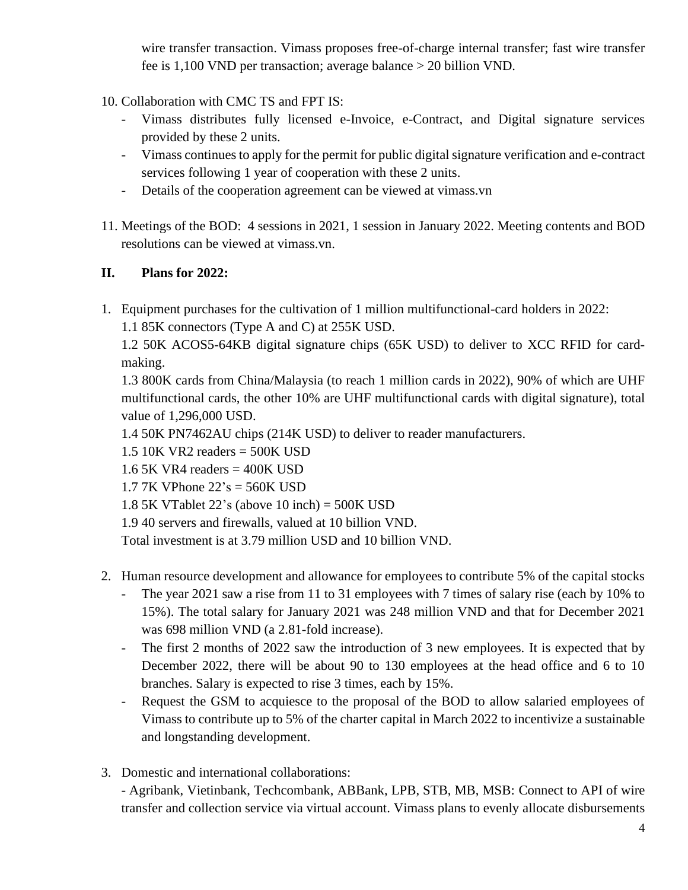wire transfer transaction. Vimass proposes free-of-charge internal transfer; fast wire transfer fee is 1,100 VND per transaction; average balance > 20 billion VND.

10. Collaboration with CMC TS and FPT IS:

- Vimass distributes fully licensed e-Invoice, e-Contract, and Digital signature services provided by these 2 units.
- Vimass continues to apply for the permit for public digital signature verification and e-contract services following 1 year of cooperation with these 2 units.
- Details of the cooperation agreement can be viewed at vimass.vn
- 11. Meetings of the BOD: 4 sessions in 2021, 1 session in January 2022. Meeting contents and BOD resolutions can be viewed at vimass.vn.

## **II. Plans for 2022:**

1. Equipment purchases for the cultivation of 1 million multifunctional-card holders in 2022:

1.1 85K connectors (Type A and C) at 255K USD.

1.2 50K ACOS5-64KB digital signature chips (65K USD) to deliver to XCC RFID for cardmaking.

1.3 800K cards from China/Malaysia (to reach 1 million cards in 2022), 90% of which are UHF multifunctional cards, the other 10% are UHF multifunctional cards with digital signature), total value of 1,296,000 USD.

1.4 50K PN7462AU chips (214K USD) to deliver to reader manufacturers.

- 1.5 10K VR2 readers = 500K USD
- 1.6 5K VR4 readers = 400K USD
- 1.7 7K VPhone 22's = 560K USD
- 1.8 5K VTablet 22's (above 10 inch) = 500K USD
- 1.9 40 servers and firewalls, valued at 10 billion VND.

Total investment is at 3.79 million USD and 10 billion VND.

- 2. Human resource development and allowance for employees to contribute 5% of the capital stocks
	- The year 2021 saw a rise from 11 to 31 employees with 7 times of salary rise (each by 10% to 15%). The total salary for January 2021 was 248 million VND and that for December 2021 was 698 million VND (a 2.81-fold increase).
	- The first 2 months of 2022 saw the introduction of 3 new employees. It is expected that by December 2022, there will be about 90 to 130 employees at the head office and 6 to 10 branches. Salary is expected to rise 3 times, each by 15%.
	- Request the GSM to acquiesce to the proposal of the BOD to allow salaried employees of Vimass to contribute up to 5% of the charter capital in March 2022 to incentivize a sustainable and longstanding development.
- 3. Domestic and international collaborations:

- Agribank, Vietinbank, Techcombank, ABBank, LPB, STB, MB, MSB: Connect to API of wire transfer and collection service via virtual account. Vimass plans to evenly allocate disbursements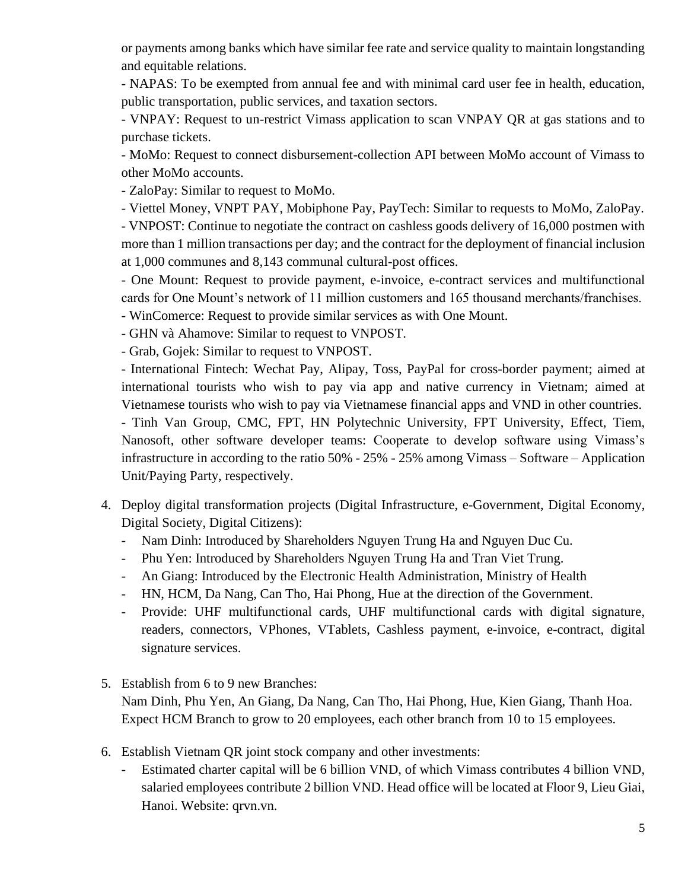or payments among banks which have similar fee rate and service quality to maintain longstanding and equitable relations.

- NAPAS: To be exempted from annual fee and with minimal card user fee in health, education, public transportation, public services, and taxation sectors.

- VNPAY: Request to un-restrict Vimass application to scan VNPAY QR at gas stations and to purchase tickets.

- MoMo: Request to connect disbursement-collection API between MoMo account of Vimass to other MoMo accounts.

- ZaloPay: Similar to request to MoMo.

- Viettel Money, VNPT PAY, Mobiphone Pay, PayTech: Similar to requests to MoMo, ZaloPay.

- VNPOST: Continue to negotiate the contract on cashless goods delivery of 16,000 postmen with more than 1 million transactions per day; and the contract for the deployment of financial inclusion at 1,000 communes and 8,143 communal cultural-post offices.

- One Mount: Request to provide payment, e-invoice, e-contract services and multifunctional cards for One Mount's network of 11 million customers and 165 thousand merchants/franchises.

- WinComerce: Request to provide similar services as with One Mount.

- GHN và Ahamove: Similar to request to VNPOST.

- Grab, Gojek: Similar to request to VNPOST.

- International Fintech: Wechat Pay, Alipay, Toss, PayPal for cross-border payment; aimed at international tourists who wish to pay via app and native currency in Vietnam; aimed at Vietnamese tourists who wish to pay via Vietnamese financial apps and VND in other countries. - Tinh Van Group, CMC, FPT, HN Polytechnic University, FPT University, Effect, Tiem, Nanosoft, other software developer teams: Cooperate to develop software using Vimass's infrastructure in according to the ratio 50% - 25% - 25% among Vimass – Software – Application Unit/Paying Party, respectively.

- 4. Deploy digital transformation projects (Digital Infrastructure, e-Government, Digital Economy, Digital Society, Digital Citizens):
	- Nam Dinh: Introduced by Shareholders Nguyen Trung Ha and Nguyen Duc Cu.
	- Phu Yen: Introduced by Shareholders Nguyen Trung Ha and Tran Viet Trung.
	- An Giang: Introduced by the Electronic Health Administration, Ministry of Health
	- HN, HCM, Da Nang, Can Tho, Hai Phong, Hue at the direction of the Government.
	- Provide: UHF multifunctional cards, UHF multifunctional cards with digital signature, readers, connectors, VPhones, VTablets, Cashless payment, e-invoice, e-contract, digital signature services.
- 5. Establish from 6 to 9 new Branches: Nam Dinh, Phu Yen, An Giang, Da Nang, Can Tho, Hai Phong, Hue, Kien Giang, Thanh Hoa. Expect HCM Branch to grow to 20 employees, each other branch from 10 to 15 employees.
- 6. Establish Vietnam QR joint stock company and other investments:
	- Estimated charter capital will be 6 billion VND, of which Vimass contributes 4 billion VND, salaried employees contribute 2 billion VND. Head office will be located at Floor 9, Lieu Giai, Hanoi. Website: qrvn.vn.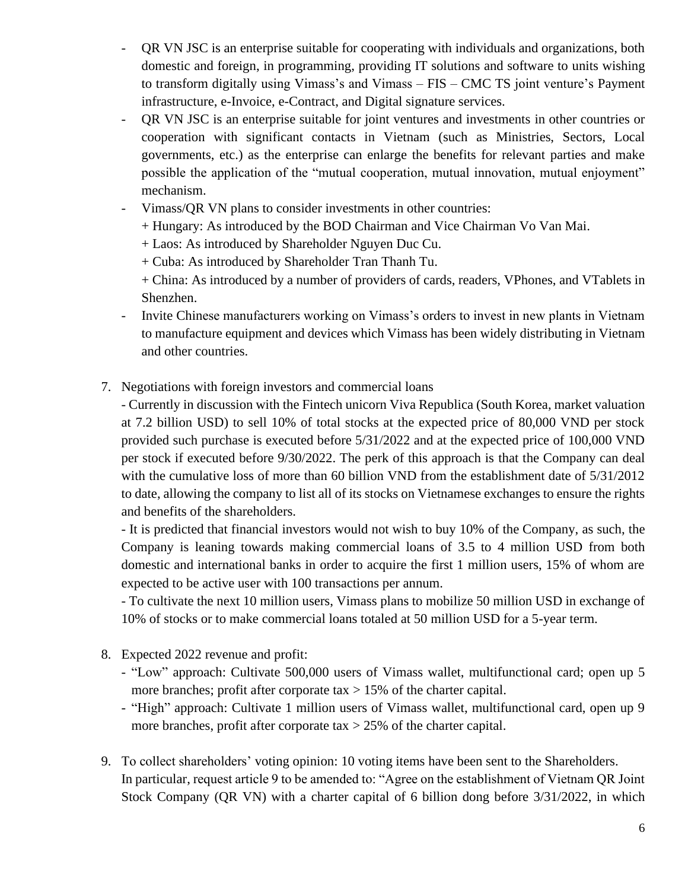- QR VN JSC is an enterprise suitable for cooperating with individuals and organizations, both domestic and foreign, in programming, providing IT solutions and software to units wishing to transform digitally using Vimass's and Vimass – FIS – CMC TS joint venture's Payment infrastructure, e-Invoice, e-Contract, and Digital signature services.
- QR VN JSC is an enterprise suitable for joint ventures and investments in other countries or cooperation with significant contacts in Vietnam (such as Ministries, Sectors, Local governments, etc.) as the enterprise can enlarge the benefits for relevant parties and make possible the application of the "mutual cooperation, mutual innovation, mutual enjoyment" mechanism.
- Vimass/QR VN plans to consider investments in other countries:
	- + Hungary: As introduced by the BOD Chairman and Vice Chairman Vo Van Mai.
	- + Laos: As introduced by Shareholder Nguyen Duc Cu.
	- + Cuba: As introduced by Shareholder Tran Thanh Tu.

+ China: As introduced by a number of providers of cards, readers, VPhones, and VTablets in Shenzhen.

- Invite Chinese manufacturers working on Vimass's orders to invest in new plants in Vietnam to manufacture equipment and devices which Vimass has been widely distributing in Vietnam and other countries.
- 7. Negotiations with foreign investors and commercial loans

- Currently in discussion with the Fintech unicorn Viva Republica (South Korea, market valuation at 7.2 billion USD) to sell 10% of total stocks at the expected price of 80,000 VND per stock provided such purchase is executed before 5/31/2022 and at the expected price of 100,000 VND per stock if executed before 9/30/2022. The perk of this approach is that the Company can deal with the cumulative loss of more than 60 billion VND from the establishment date of  $5/31/2012$ to date, allowing the company to list all of its stocks on Vietnamese exchanges to ensure the rights and benefits of the shareholders.

- It is predicted that financial investors would not wish to buy 10% of the Company, as such, the Company is leaning towards making commercial loans of 3.5 to 4 million USD from both domestic and international banks in order to acquire the first 1 million users, 15% of whom are expected to be active user with 100 transactions per annum.

- To cultivate the next 10 million users, Vimass plans to mobilize 50 million USD in exchange of 10% of stocks or to make commercial loans totaled at 50 million USD for a 5-year term.

- 8. Expected 2022 revenue and profit:
	- "Low" approach: Cultivate 500,000 users of Vimass wallet, multifunctional card; open up 5 more branches; profit after corporate tax  $> 15\%$  of the charter capital.
	- "High" approach: Cultivate 1 million users of Vimass wallet, multifunctional card, open up 9 more branches, profit after corporate tax  $>$  25% of the charter capital.
- 9. To collect shareholders' voting opinion: 10 voting items have been sent to the Shareholders. In particular, request article 9 to be amended to: "Agree on the establishment of Vietnam QR Joint Stock Company (QR VN) with a charter capital of 6 billion dong before 3/31/2022, in which